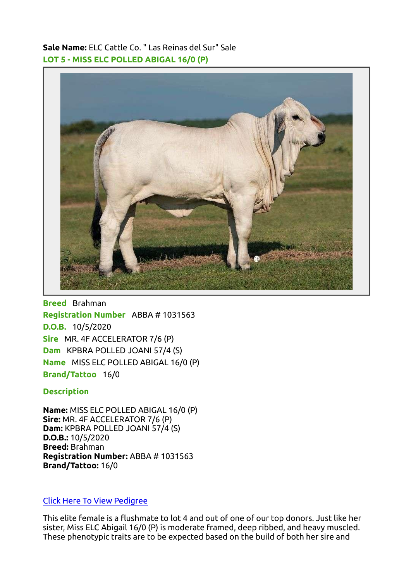Sale Name: ELC Cattle Co. " Las Reinas del Sur" Sale LOT 5 - MISS ELC POLLED ABIGAL 16/0 (P)



Breed Brahman Registration Number ABBA # 1031563 D.O.B. 10/5/2020 Sire MR. 4F ACCELERATOR 7/6 (P) Dam KPBRA POLLED JOANI 57/4 (S) Name MISS ELC POLLED ABIGAL 16/0 (P) Brand/Tattoo 16/0

## **Description**

Name: MISS ELC POLLED ABIGAL 16/0 (P) Sire: MR. 4F ACCELERATOR 7/6 (P) Dam: KPBRA POLLED JOANI 57/4 (S) D.O.B.: 10/5/2020 Breed: Brahman Registration Number: ABBA # 1031563 Brand/Tattoo: 16/0

## [Click Here To View Pedigree](https://brahman.digitalbeef.com/modules.php?op=modload&name=_animal&file=_animal&animal_registration=1031563)

This elite female is a flushmate to lot 4 and out of one of our top donors. Just like her sister, Miss ELC Abigail 16/0 (P) is moderate framed, deep ribbed, and heavy muscled. These phenotypic traits are to be expected based on the build of both her sire and